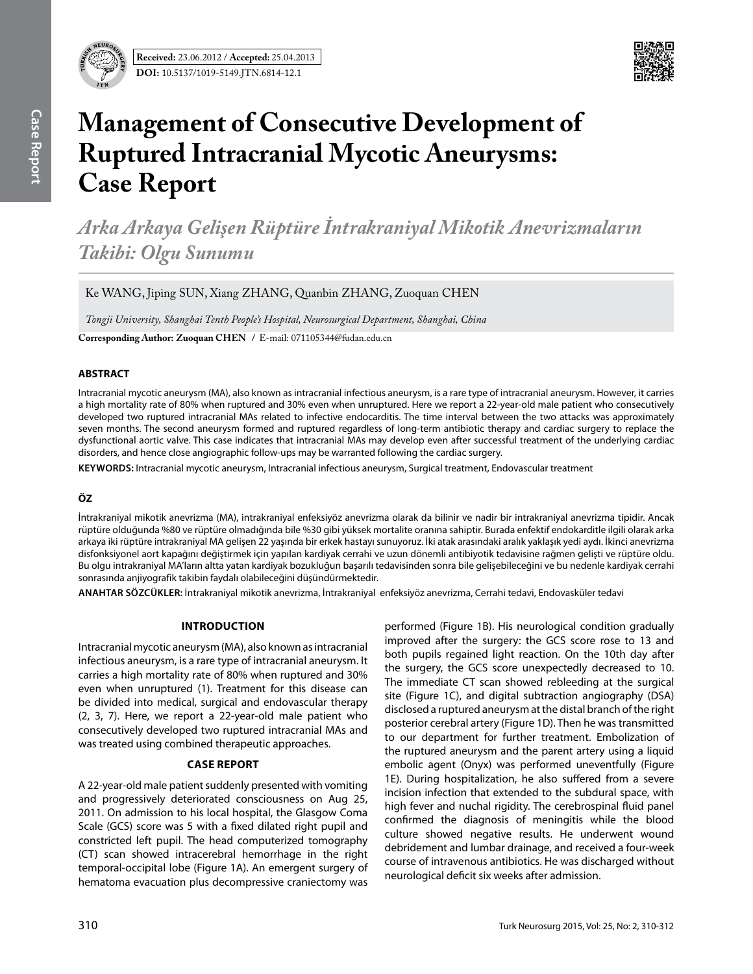

# **Management of Consecutive Development of Ruptured Intracranial Mycotic Aneurysms: Case Report**

*Arka Arkaya Gelişen Rüptüre İntrakraniyal Mikotik Anevrizmaların Takibi: Olgu Sunumu*

Ke WANG, Jiping SUN, Xiang ZHANG, Quanbin ZHANG, Zuoquan CHEN

*Tongji University, Shanghai Tenth People's Hospital, Neurosurgical Department, Shanghai, China*

**Corresponding Author: Zuoquan Chen /** E-mail: 071105344@fudan.edu.cn

#### **ABSTRACT**

Intracranial mycotic aneurysm (MA), also known as intracranial infectious aneurysm, is a rare type of intracranial aneurysm. However, it carries a high mortality rate of 80% when ruptured and 30% even when unruptured. Here we report a 22-year-old male patient who consecutively developed two ruptured intracranial MAs related to infective endocarditis. The time interval between the two attacks was approximately seven months. The second aneurysm formed and ruptured regardless of long-term antibiotic therapy and cardiac surgery to replace the dysfunctional aortic valve. This case indicates that intracranial MAs may develop even after successful treatment of the underlying cardiac disorders, and hence close angiographic follow-ups may be warranted following the cardiac surgery.

**Keywords:** Intracranial mycotic aneurysm, Intracranial infectious aneurysm, Surgical treatment, Endovascular treatment

# **ÖZ**

İntrakraniyal mikotik anevrizma (MA), intrakraniyal enfeksiyöz anevrizma olarak da bilinir ve nadir bir intrakraniyal anevrizma tipidir. Ancak rüptüre olduğunda %80 ve rüptüre olmadığında bile %30 gibi yüksek mortalite oranına sahiptir. Burada enfektif endokarditle ilgili olarak arka arkaya iki rüptüre intrakraniyal MA gelişen 22 yaşında bir erkek hastayı sunuyoruz. İki atak arasındaki aralık yaklaşık yedi aydı. İkinci anevrizma disfonksiyonel aort kapağını değiştirmek için yapılan kardiyak cerrahi ve uzun dönemli antibiyotik tedavisine rağmen gelişti ve rüptüre oldu. Bu olgu intrakraniyal MA'ların altta yatan kardiyak bozukluğun başarılı tedavisinden sonra bile gelişebileceğini ve bu nedenle kardiyak cerrahi sonrasında anjiyografik takibin faydalı olabileceğini düşündürmektedir.

**ANAHTAR SÖZCÜKLER:** İntrakraniyal mikotik anevrizma, İntrakraniyal enfeksiyöz anevrizma, Cerrahi tedavi, Endovasküler tedavi

# **Introduction**

Intracranial mycotic aneurysm (MA), also known as intracranial infectious aneurysm, is a rare type of intracranial aneurysm. It carries a high mortality rate of 80% when ruptured and 30% even when unruptured (1). Treatment for this disease can be divided into medical, surgical and endovascular therapy (2, 3, 7). Here, we report a 22-year-old male patient who consecutively developed two ruptured intracranial MAs and was treated using combined therapeutic approaches.

# **Case Report**

A 22-year-old male patient suddenly presented with vomiting and progressively deteriorated consciousness on Aug 25, 2011. On admission to his local hospital, the Glasgow Coma Scale (GCS) score was 5 with a fixed dilated right pupil and constricted left pupil. The head computerized tomography (CT) scan showed intracerebral hemorrhage in the right temporal-occipital lobe (Figure 1A). An emergent surgery of hematoma evacuation plus decompressive craniectomy was

performed (Figure 1B). His neurological condition gradually improved after the surgery: the GCS score rose to 13 and both pupils regained light reaction. On the 10th day after the surgery, the GCS score unexpectedly decreased to 10. The immediate CT scan showed rebleeding at the surgical site (Figure 1C), and digital subtraction angiography (DSA) disclosed a ruptured aneurysm at the distal branch of the right posterior cerebral artery (Figure 1D). Then he was transmitted to our department for further treatment. Embolization of the ruptured aneurysm and the parent artery using a liquid embolic agent (Onyx) was performed uneventfully (Figure 1E). During hospitalization, he also suffered from a severe incision infection that extended to the subdural space, with high fever and nuchal rigidity. The cerebrospinal fluid panel confirmed the diagnosis of meningitis while the blood culture showed negative results. He underwent wound debridement and lumbar drainage, and received a four-week course of intravenous antibiotics. He was discharged without neurological deficit six weeks after admission.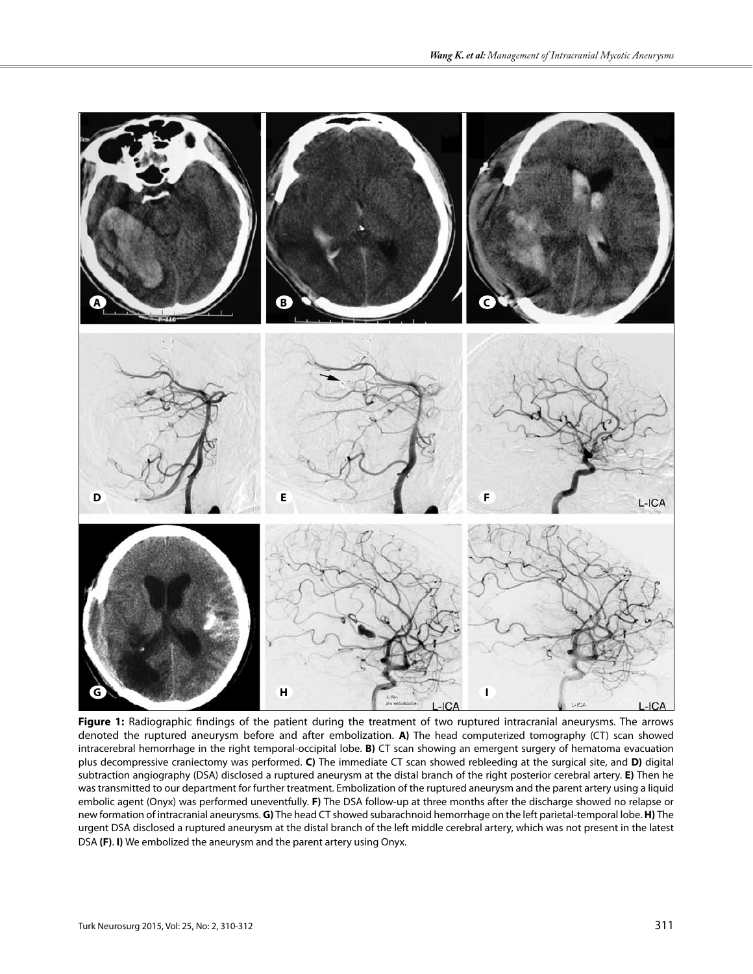

**Figure 1:** Radiographic findings of the patient during the treatment of two ruptured intracranial aneurysms. The arrows denoted the ruptured aneurysm before and after embolization. **A)** The head computerized tomography (CT) scan showed intracerebral hemorrhage in the right temporal-occipital lobe. **B)** CT scan showing an emergent surgery of hematoma evacuation plus decompressive craniectomy was performed. **C)** The immediate CT scan showed rebleeding at the surgical site, and **D)** digital subtraction angiography (DSA) disclosed a ruptured aneurysm at the distal branch of the right posterior cerebral artery. **E)** Then he was transmitted to our department for further treatment. Embolization of the ruptured aneurysm and the parent artery using a liquid embolic agent (Onyx) was performed uneventfully. **F)** The DSA follow-up at three months after the discharge showed no relapse or new formation of intracranial aneurysms. **G)** The head CT showed subarachnoid hemorrhage on the left parietal-temporal lobe. **H)** The urgent DSA disclosed a ruptured aneurysm at the distal branch of the left middle cerebral artery, which was not present in the latest DSA **(F)**. **I)** We embolized the aneurysm and the parent artery using Onyx.